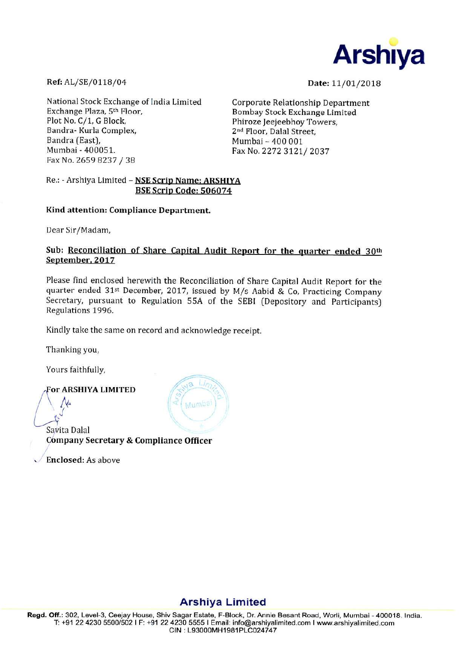

Ref: AL/SE/0118/04

Date: 11/01/2018

National Stock Exchange of India Limited Exchange Plaza, 5th Floor, Plot No. C/1, G Block, Bandra- Kurla Complex. Bandra (East). Mumbai - 400051. Fax No. 2659 8237 / 38

**Corporate Relationship Department** Bombay Stock Exchange Limited Phiroze Jeejeebhov Towers. 2<sup>nd</sup> Floor, Dalal Street. Mumbai - 400 001 Fax No. 2272 3121/2037

Re.: - Arshiya Limited - NSE Scrip Name: ARSHIYA BSE Scrip Code: 506074

## Kind attention: Compliance Department.

Dear Sir/Madam,

# Sub: Reconciliation of Share Capital Audit Report for the quarter ended 30th September, 2017

Please find enclosed herewith the Reconciliation of Share Capital Audit Report for the quarter ended 31st December, 2017, issued by M/s Aabid & Co, Practicing Company Secretary, pursuant to Regulation 55A of the SEBI (Depository and Participants) Regulations 1996.

Гij,

wimba

Kindly take the same on record and acknowledge receipt.

Thanking you,

Yours faithfully,

## **For ARSHIYA LIMITED**

Savita Dalal Company Secretary & Compliance Officer

Enclosed: As above

# **Arshiya Limited**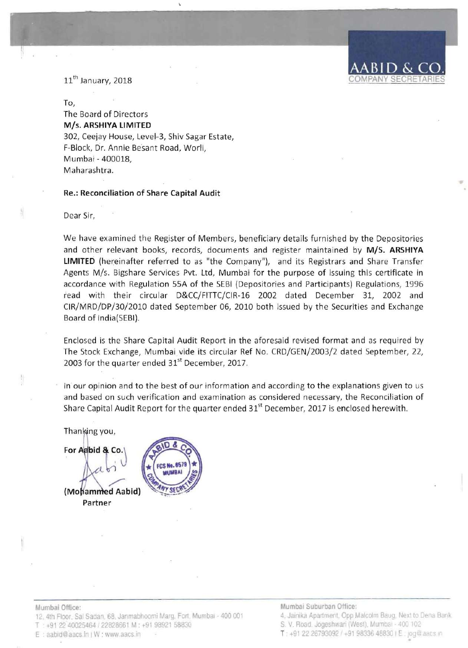# 11<sup>th</sup> January, 2018

#### To,

The Board of Directors *MIs.* ARSHIYA LIMITED 302, Ceejay House, Level-3, Shiv Sagar Estate, F-Block, Dr. Annie Besant Road, Worli, Mumbai - 400018, Maharashtra.

#### Re.: Reconciliation of Share Capital Audit

Dear Sir,

We have examined the Register of Members, beneficiary details furnished by the Depositories and other relevant books, records, documents and register maintained by *MIS.* ARSHIYA LIMITED (hereinafter referred to as "the Company"), and its Registrars and Share Transfer Agents *MIs.* Bigshare Services Pvt. Ltd, Mumbai for the purpose of issuing this certificate in accordance with Regulation 55A of the SEBI (Depositories and Participants) Regulations, 1996 read with their circular D&CC/FITTC/CIR-16 2002 dated December 31, 2002 and CIR/MRD/DP/30/2010 dated September 06, 2010 both issued by the Securities and Exchange Board of India(SEBI).

Enclosed is the Share Capital Audit Report in the aforesaid revised format and as required by The Stock Exchange, Mumbai vide its circular Ref No. CRD/GEN/2003/2 dated September, 22, 2003 for the quarter ended 31<sup>st</sup> December, 2017.

In our opinion and to the best of our information and according to the explanations given to us and based on such verification and examination as considered necessary, the Reconciliation of Share Capital Audit Report for the quarter ended 31<sup>st</sup> December, 2017 is enclosed herewith.

Thanking you,

For Aabid & Co.  $\overline{\mathcal{L}}$ . d Aabid} Partner

Mumbal Office: 12. 4th Floor, Sai Sadan, 68, Janmabhoomi Marg. Fort, Mumbal - 400 001 T : +91 22 40025464 / 22828661 M : +91 98921 58830 E : aabid@aacs.in | W: www.aacs.in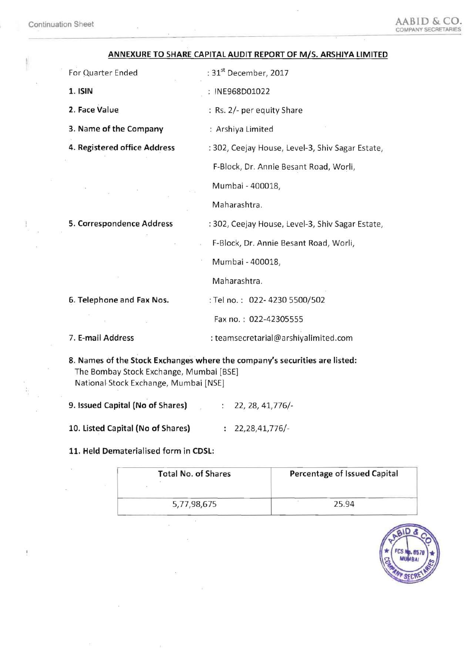## ANNEXURE TO SHARE CAPITAL AUDIT REPORT OF *MIS.* ARSHIYA LIMITED

3. Name of the Company : Arshiya Limited

For Quarter Ended : 31<sup>st</sup> December, 2017

1. ISIN : INE968D01022

2. Face Value **: Rs. 2/- per equity Share** 

4. Registered office Address : 302, Ceejay House, Level-3, Shiv Sagar Estate,

F-Block, Dr. Annie Besant Road, Worli,

Mumbai - 400018,

Maharashtra.

5. Correspondence Address : 302, Ceejay House, Level-3, Shiv Sagar Estate,

F-Block, Dr. Annie Besant Road, Worli,

Mumbai - 400018,

Maharashtra.

6. Telephone and Fax Nos. : Tel no.: 022-4230 5500/502

Fax no. : 022-42305555

7. E-mail Address : teamsecretarial@arshiyalimited.com

8. Names of the Stock Exchanges where the company's securities are listed: The Bombay Stock Exchange, Mumbai [BSE] National Stock Exchange, Mumbai [NSE]

9. Issued Capital (No of Shares) : 22, 28, 41,776/-

10. Listed Capital (No of Shares) 22,28,41,776/

11. Held Dematerialised form in CDSL:

| <b>Total No. of Shares</b> | <b>Percentage of Issued Capital</b> |  |  |
|----------------------------|-------------------------------------|--|--|
| 5,77,98,675                | 25.94                               |  |  |

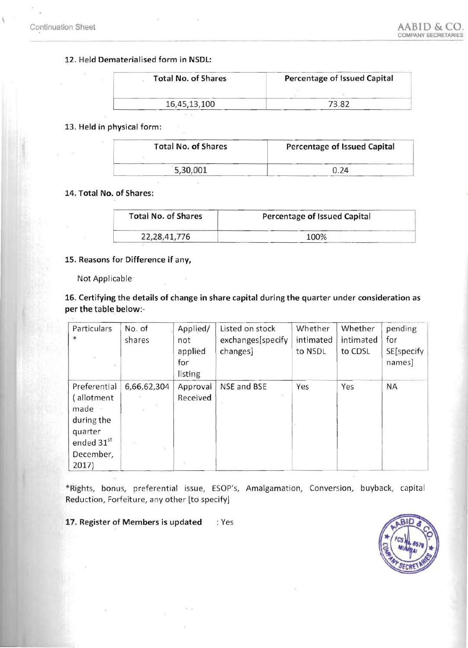## 12. Held Dematerialised form in NSDL:

| <b>Total No. of Shares</b> | Percentage of Issued Capital |  |  |
|----------------------------|------------------------------|--|--|
|                            |                              |  |  |
| 16,45,13,100               | 73.82                        |  |  |

#### 13. Held in physical form:

| <b>Total No. of Shares</b> | Percentage of Issued Capital |  |
|----------------------------|------------------------------|--|
| 5,30,001                   | 0.24                         |  |

## 14. Total No. of Shares:

| <b>Total No. of Shares</b> | Percentage of Issued Capital |  |
|----------------------------|------------------------------|--|
| 22, 28, 41, 776            | 100%                         |  |

### 15. Reasons for Difference if any,

Not Applicable ·

# 16. Certifying the details of change in share capital during the quarter under consideration as per the table below:

| Particulars<br>$*$                                                                             | No. of<br>shares | Applied/<br>not<br>applied<br>for<br>listing | Listed on stock<br>exchanges[specify<br>changes] | Whether<br>intimated<br>to NSDL | Whether<br>intimated<br>to CDSL | pending<br>for<br>SE[specify<br>names] |
|------------------------------------------------------------------------------------------------|------------------|----------------------------------------------|--------------------------------------------------|---------------------------------|---------------------------------|----------------------------------------|
| Preferential<br>allotment<br>made<br>during the<br>quarter<br>ended 31st<br>December,<br>2017) | 6,66,62,304      | Approval<br>Received                         | NSE and BSE<br>$\theta_1$                        | Yes                             | Yes                             | <b>NA</b>                              |

\*Rights, bonus, preferential issue, ESOP's, Amalgamation, Conversion, buyback, capital Reduction, Forfeiture, any other [to specify]

17. Register of Members is updated : Yes

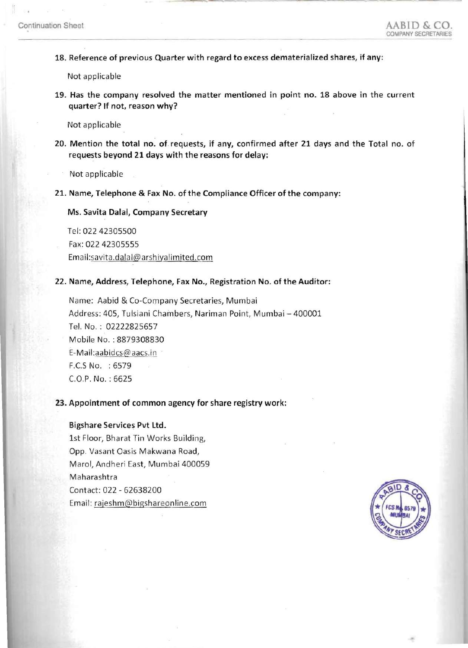18. Reference of previous Quarter with regard to excess dematerialized shares, if any:

Not applicable

19. Has the company resolved the matter mentioned in point no. 18 above in the current quarter? If not, reason why?

Not applicable

20. Mention the total no. of requests, if any, confirmed after 21 days and the Total no. of requests beyond 21 days with the reasons for delay:

Not applicable

21. Name, Telephone & Fax No. of the Compliance Officer of the company:

Ms. Savita Dalal, Company Secretary

Tel: 022 42305500

Fax: 022 42305555

Email:savita.dalal@arshiyalimited.com

22. Name, Address, Telephone, Fax No., Registration No. of the Auditor:

Name: Aabid & Co-Company Secretaries, Mumbai Address: 405, Tulsiani Chambers, Nariman Point, Mumbai - 400001 Tel. No. : 02222825657 Mobile No. : 8879308830 E-Mail:aabidcs@aacs.in F .CS No. : 6579 CO.P. No. : 6625

### 23. Appointment of common agency for share registry work:

#### Bigshare Services Pvt ltd.

1st Floor, Bharat Tin Works Building, Opp. Vasant Oasis Makwana Road, Marol, Andheri East, Mumbai 400059 Maharashtra Contact: 022 - 62638200 Email: rajeshm@bigshareonline.com